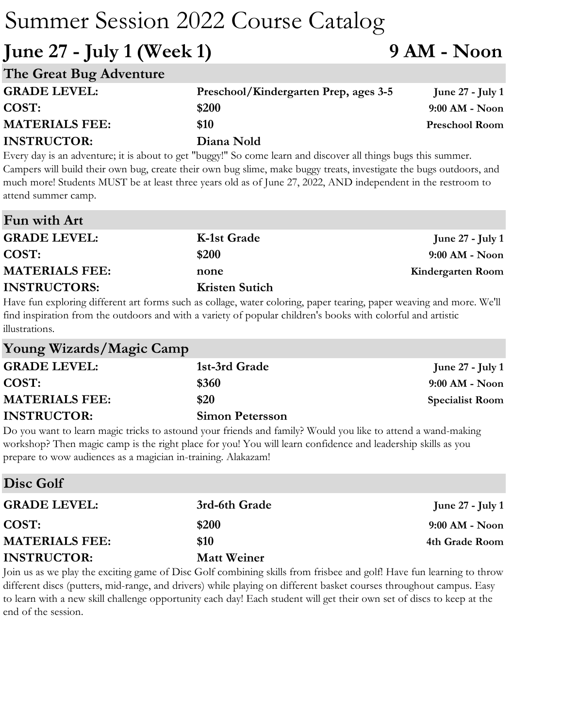### **June 27 - July 1 (Week 1) 9 AM - Noon**

| The Great Bug Adventure |                                       |                       |
|-------------------------|---------------------------------------|-----------------------|
| <b>GRADE LEVEL:</b>     | Preschool/Kindergarten Prep, ages 3-5 | June $27$ - July 1    |
| COST:                   | \$200                                 | $9:00$ AM - Noon      |
| <b>MATERIALS FEE:</b>   | \$10                                  | <b>Preschool Room</b> |
| <b>INSTRUCTOR:</b>      | Diana Nold                            |                       |

Every day is an adventure; it is about to get "buggy!" So come learn and discover all things bugs this summer. Campers will build their own bug, create their own bug slime, make buggy treats, investigate the bugs outdoors, and much more! Students MUST be at least three years old as of June 27, 2022, AND independent in the restroom to attend summer camp.

| Fun with Art          |                       |                    |
|-----------------------|-----------------------|--------------------|
| <b>GRADE LEVEL:</b>   | K-1st Grade           | June $27$ - July 1 |
| COST:                 | \$200                 | $9:00$ AM - Noon   |
| <b>MATERIALS FEE:</b> | none                  | Kindergarten Room  |
| <b>INSTRUCTORS:</b>   | <b>Kristen Sutich</b> |                    |

Have fun exploring different art forms such as collage, water coloring, paper tearing, paper weaving and more. We'll find inspiration from the outdoors and with a variety of popular children's books with colorful and artistic illustrations.

| Young Wizards/Magic Camp |                        |                        |
|--------------------------|------------------------|------------------------|
| <b>GRADE LEVEL:</b>      | 1st-3rd Grade          | June $27$ - July 1     |
| COST:                    | \$360                  | $9:00$ AM - Noon       |
| <b>MATERIALS FEE:</b>    | \$20                   | <b>Specialist Room</b> |
| <b>INSTRUCTOR:</b>       | <b>Simon Petersson</b> |                        |

Do you want to learn magic tricks to astound your friends and family? Would you like to attend a wand-making workshop? Then magic camp is the right place for you! You will learn confidence and leadership skills as you prepare to wow audiences as a magician in-training. Alakazam!

| Disc Golf             |                    |                         |
|-----------------------|--------------------|-------------------------|
| <b>GRADE LEVEL:</b>   | 3rd-6th Grade      | <b>June 27 - July 1</b> |
| COST:                 | \$200              | $9:00$ AM - Noon        |
| <b>MATERIALS FEE:</b> | \$10               | 4th Grade Room          |
| <b>INSTRUCTOR:</b>    | <b>Matt Weiner</b> |                         |

Join us as we play the exciting game of Disc Golf combining skills from frisbee and golf! Have fun learning to throw different discs (putters, mid-range, and drivers) while playing on different basket courses throughout campus. Easy to learn with a new skill challenge opportunity each day! Each student will get their own set of discs to keep at the end of the session.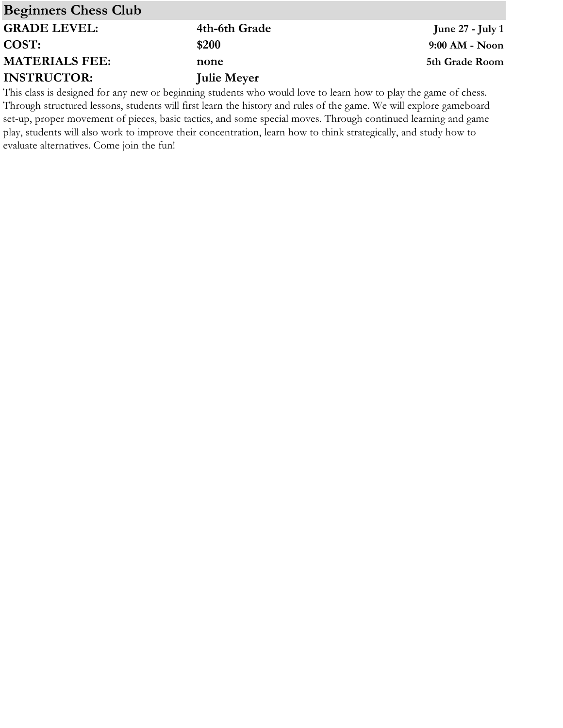| <b>Beginners Chess Club</b> |                    |                         |
|-----------------------------|--------------------|-------------------------|
| <b>GRADE LEVEL:</b>         | 4th-6th Grade      | <b>June 27 - July 1</b> |
| COST:                       | \$200              | $9:00$ AM - Noon        |
| <b>MATERIALS FEE:</b>       | none               | 5th Grade Room          |
| <b>INSTRUCTOR:</b>          | <b>Julie Meyer</b> |                         |
|                             | 1. 1. 1            | $111$ 1 1 $1$ 1 1       |

This class is designed for any new or beginning students who would love to learn how to play the game of chess. Through structured lessons, students will first learn the history and rules of the game. We will explore gameboard set-up, proper movement of pieces, basic tactics, and some special moves. Through continued learning and game play, students will also work to improve their concentration, learn how to think strategically, and study how to evaluate alternatives. Come join the fun!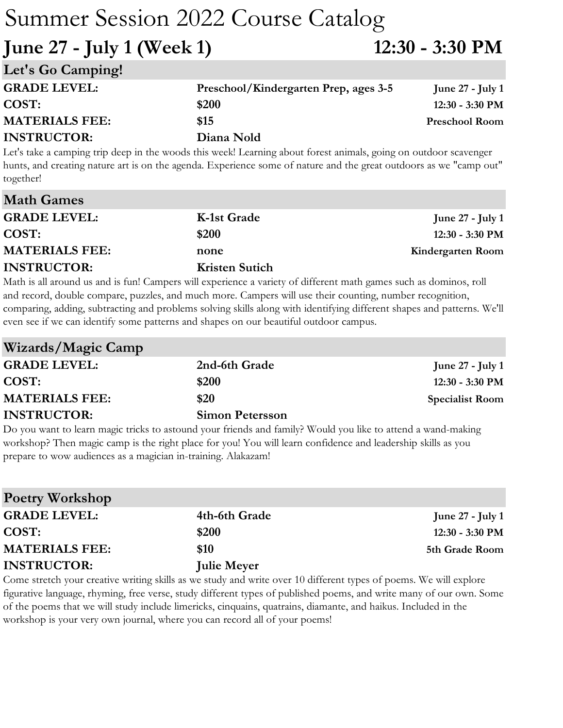**June 27 - July 1 (Week 1) 12:30 - 3:30 PM**

| Let's Go Camping!     |                                       |                       |
|-----------------------|---------------------------------------|-----------------------|
| <b>GRADE LEVEL:</b>   | Preschool/Kindergarten Prep, ages 3-5 | June $27$ - July 1    |
| COST:                 | \$200                                 | $12:30 - 3:30$ PM     |
| <b>MATERIALS FEE:</b> | \$15                                  | <b>Preschool Room</b> |
| <b>INSTRUCTOR:</b>    | Diana Nold                            |                       |

Let's take a camping trip deep in the woods this week! Learning about forest animals, going on outdoor scavenger hunts, and creating nature art is on the agenda. Experience some of nature and the great outdoors as we "camp out" together!

| <b>Math Games</b>     |                       |                         |
|-----------------------|-----------------------|-------------------------|
| <b>GRADE LEVEL:</b>   | K-1st Grade           | <b>June 27 - July 1</b> |
| COST:                 | \$200                 | 12:30 - 3:30 PM         |
| <b>MATERIALS FEE:</b> | none                  | Kindergarten Room       |
| <b>INSTRUCTOR:</b>    | <b>Kristen Sutich</b> |                         |
|                       |                       |                         |

Math is all around us and is fun! Campers will experience a variety of different math games such as dominos, roll and record, double compare, puzzles, and much more. Campers will use their counting, number recognition, comparing, adding, subtracting and problems solving skills along with identifying different shapes and patterns. We'll even see if we can identify some patterns and shapes on our beautiful outdoor campus.

| Wizards/Magic Camp    |                        |                           |
|-----------------------|------------------------|---------------------------|
| <b>GRADE LEVEL:</b>   | 2nd-6th Grade          | June $27$ - July 1        |
| COST:                 | \$200                  | $12:30 - 3:30 \text{ PM}$ |
| <b>MATERIALS FEE:</b> | \$20                   | <b>Specialist Room</b>    |
| <b>INSTRUCTOR:</b>    | <b>Simon Petersson</b> |                           |

Do you want to learn magic tricks to astound your friends and family? Would you like to attend a wand-making workshop? Then magic camp is the right place for you! You will learn confidence and leadership skills as you prepare to wow audiences as a magician in-training. Alakazam!

| <b>Poetry Workshop</b> |                    |                           |
|------------------------|--------------------|---------------------------|
| <b>GRADE LEVEL:</b>    | 4th-6th Grade      | June $27$ - July 1        |
| COST:                  | \$200              | $12:30 - 3:30 \text{ PM}$ |
| <b>MATERIALS FEE:</b>  | \$10               | 5th Grade Room            |
| <b>INSTRUCTOR:</b>     | <b>Julie Meyer</b> |                           |

Come stretch your creative writing skills as we study and write over 10 different types of poems. We will explore figurative language, rhyming, free verse, study different types of published poems, and write many of our own. Some of the poems that we will study include limericks, cinquains, quatrains, diamante, and haikus. Included in the workshop is your very own journal, where you can record all of your poems!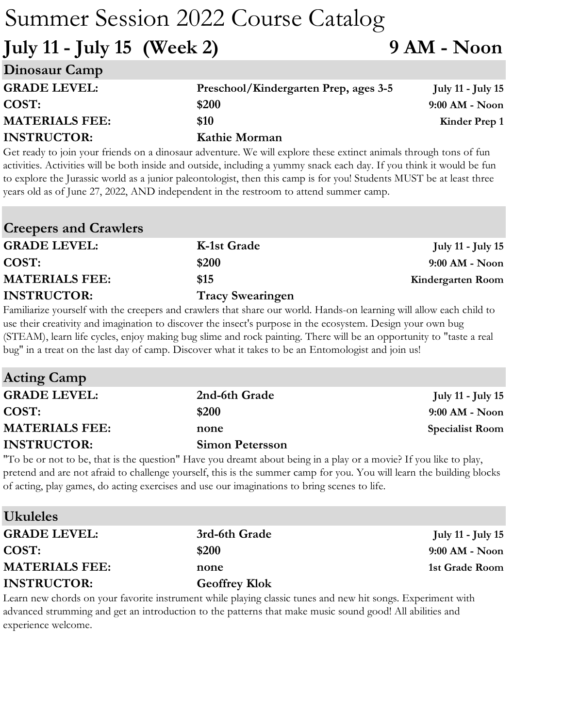**July 11 - July 15 (Week 2) 9 AM - Noon**

| Preschool/Kindergarten Prep, ages 3-5 | July 11 - July 15 |
|---------------------------------------|-------------------|
| \$200                                 | $9:00$ AM - Noon  |
| \$10                                  | Kinder Prep 1     |
| Kathie Morman                         |                   |
|                                       |                   |

Get ready to join your friends on a dinosaur adventure. We will explore these extinct animals through tons of fun activities. Activities will be both inside and outside, including a yummy snack each day. If you think it would be fun to explore the Jurassic world as a junior paleontologist, then this camp is for you! Students MUST be at least three years old as of June 27, 2022, AND independent in the restroom to attend summer camp.

| <b>Creepers and Crawlers</b> |                         |                          |
|------------------------------|-------------------------|--------------------------|
| <b>GRADE LEVEL:</b>          | K-1st Grade             | <b>July 11 - July 15</b> |
| COST:                        | \$200                   | 9:00 AM - Noon           |
| <b>MATERIALS FEE:</b>        | \$15                    | Kindergarten Room        |
| <b>INSTRUCTOR:</b>           | <b>Tracy Swearingen</b> |                          |
|                              |                         |                          |

Familiarize yourself with the creepers and crawlers that share our world. Hands-on learning will allow each child to use their creativity and imagination to discover the insect's purpose in the ecosystem. Design your own bug (STEAM), learn life cycles, enjoy making bug slime and rock painting. There will be an opportunity to "taste a real bug" in a treat on the last day of camp. Discover what it takes to be an Entomologist and join us!

| <b>Acting Camp</b>    |                        |                          |
|-----------------------|------------------------|--------------------------|
| <b>GRADE LEVEL:</b>   | 2nd-6th Grade          | <b>July 11 - July 15</b> |
| COST:                 | \$200                  | $9:00$ AM - Noon         |
| <b>MATERIALS FEE:</b> | none                   | <b>Specialist Room</b>   |
| <b>INSTRUCTOR:</b>    | <b>Simon Petersson</b> |                          |

"To be or not to be, that is the question" Have you dreamt about being in a play or a movie? If you like to play, pretend and are not afraid to challenge yourself, this is the summer camp for you. You will learn the building blocks of acting, play games, do acting exercises and use our imaginations to bring scenes to life.

| <b>Ukuleles</b>       |                                                                                                                                                                                                                                    |                          |
|-----------------------|------------------------------------------------------------------------------------------------------------------------------------------------------------------------------------------------------------------------------------|--------------------------|
| <b>GRADE LEVEL:</b>   | 3rd-6th Grade                                                                                                                                                                                                                      | <b>July 11 - July 15</b> |
| COST:                 | \$200                                                                                                                                                                                                                              | $9:00$ AM - Noon         |
| <b>MATERIALS FEE:</b> | none                                                                                                                                                                                                                               | 1st Grade Room           |
| <b>INSTRUCTOR:</b>    | <b>Geoffrey Klok</b>                                                                                                                                                                                                               |                          |
|                       | $\mathcal{C}$ , and the state of the state of the state of the state of the state of the state of the state of the state of the state of the state of the state of the state of the state of the state of the state of the state o |                          |

Learn new chords on your favorite instrument while playing classic tunes and new hit songs. Experiment with advanced strumming and get an introduction to the patterns that make music sound good! All abilities and experience welcome.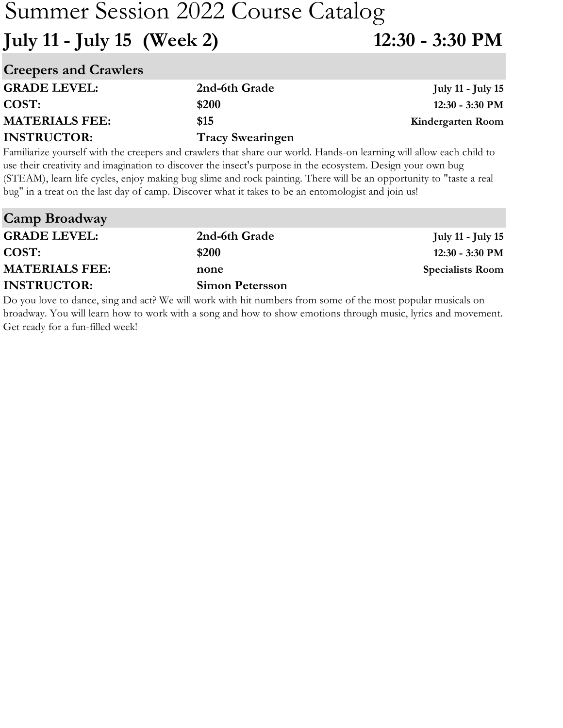# Summer Session 2022 Course Catalog **July 11 - July 15 (Week 2) 12:30 - 3:30 PM**

| <b>Creepers and Crawlers</b> |                         |                          |
|------------------------------|-------------------------|--------------------------|
| <b>GRADE LEVEL:</b>          | 2nd-6th Grade           | <b>July 11 - July 15</b> |
| COST:                        | \$200                   | 12:30 - 3:30 PM          |
| <b>MATERIALS FEE:</b>        | \$15                    | Kindergarten Room        |
| <b>INSTRUCTOR:</b>           | <b>Tracy Swearingen</b> |                          |

Familiarize yourself with the creepers and crawlers that share our world. Hands-on learning will allow each child to use their creativity and imagination to discover the insect's purpose in the ecosystem. Design your own bug (STEAM), learn life cycles, enjoy making bug slime and rock painting. There will be an opportunity to "taste a real bug" in a treat on the last day of camp. Discover what it takes to be an entomologist and join us!

| <b>Camp Broadway</b>  |                                                                                                          |                          |
|-----------------------|----------------------------------------------------------------------------------------------------------|--------------------------|
| <b>GRADE LEVEL:</b>   | 2nd-6th Grade                                                                                            | <b>July 11 - July 15</b> |
| COST:                 | \$200                                                                                                    | $12:30 - 3:30$ PM        |
| <b>MATERIALS FEE:</b> | none                                                                                                     | <b>Specialists Room</b>  |
| <b>INSTRUCTOR:</b>    | <b>Simon Petersson</b>                                                                                   |                          |
|                       | De seu less de division de la different sont soid. Lieuvelleur from comme false montre contre modelle de |                          |

Do you love to dance, sing and act? We will work with hit numbers from some of the most popular musicals on broadway. You will learn how to work with a song and how to show emotions through music, lyrics and movement. Get ready for a fun-filled week!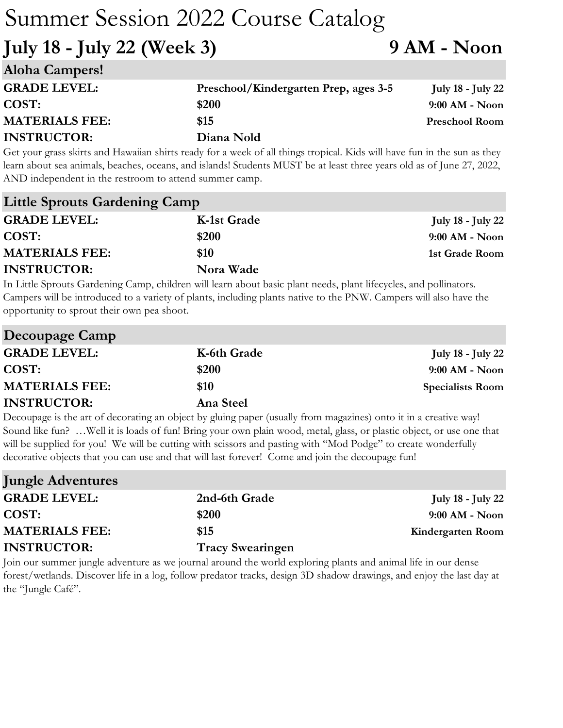**July 18 - July 22 (Week 3) 9 AM - Noon**

| <b>Aloha Campers!</b> |                                       |                          |
|-----------------------|---------------------------------------|--------------------------|
| <b>GRADE LEVEL:</b>   | Preschool/Kindergarten Prep, ages 3-5 | <b>July 18 - July 22</b> |
| COST:                 | \$200                                 | $9:00$ AM - Noon         |
| <b>MATERIALS FEE:</b> | \$15                                  | <b>Preschool Room</b>    |
| <b>INSTRUCTOR:</b>    | Diana Nold                            |                          |

Get your grass skirts and Hawaiian shirts ready for a week of all things tropical. Kids will have fun in the sun as they learn about sea animals, beaches, oceans, and islands! Students MUST be at least three years old as of June 27, 2022, AND independent in the restroom to attend summer camp.

| <b>Little Sprouts Gardening Camp</b> |             |                   |
|--------------------------------------|-------------|-------------------|
| <b>GRADE LEVEL:</b>                  | K-1st Grade | July 18 - July 22 |
| COST:                                | \$200       | $9:00$ AM - Noon  |
| <b>MATERIALS FEE:</b>                | \$10        | 1st Grade Room    |
| <b>INSTRUCTOR:</b>                   | Nora Wade   |                   |

In Little Sprouts Gardening Camp, children will learn about basic plant needs, plant lifecycles, and pollinators. Campers will be introduced to a variety of plants, including plants native to the PNW. Campers will also have the opportunity to sprout their own pea shoot.

| Decoupage Camp        |             |                          |
|-----------------------|-------------|--------------------------|
| <b>GRADE LEVEL:</b>   | K-6th Grade | <b>July 18 - July 22</b> |
| COST:                 | \$200       | $9:00$ AM - Noon         |
| <b>MATERIALS FEE:</b> | \$10        | <b>Specialists Room</b>  |
| <b>INSTRUCTOR:</b>    | Ana Steel   |                          |

Decoupage is the art of decorating an object by gluing paper (usually from magazines) onto it in a creative way! Sound like fun? …Well it is loads of fun! Bring your own plain wood, metal, glass, or plastic object, or use one that will be supplied for you! We will be cutting with scissors and pasting with "Mod Podge" to create wonderfully decorative objects that you can use and that will last forever! Come and join the decoupage fun!

| <b>Jungle Adventures</b> |                         |                          |
|--------------------------|-------------------------|--------------------------|
| <b>GRADE LEVEL:</b>      | 2nd-6th Grade           | <b>July 18 - July 22</b> |
| COST:                    | \$200                   | $9:00$ AM - Noon         |
| <b>MATERIALS FEE:</b>    | \$15                    | Kindergarten Room        |
| <b>INSTRUCTOR:</b>       | <b>Tracy Swearingen</b> |                          |

Join our summer jungle adventure as we journal around the world exploring plants and animal life in our dense forest/wetlands. Discover life in a log, follow predator tracks, design 3D shadow drawings, and enjoy the last day at the "Jungle Café".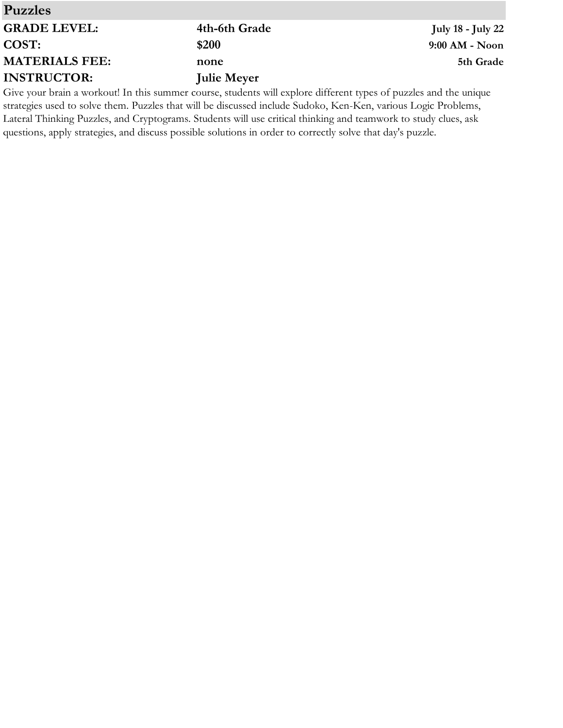| <b>Puzzles</b>        |                                                                                                                   |                          |
|-----------------------|-------------------------------------------------------------------------------------------------------------------|--------------------------|
| <b>GRADE LEVEL:</b>   | 4th-6th Grade                                                                                                     | <b>July 18 - July 22</b> |
| <b>COST:</b>          | \$200                                                                                                             | $9:00$ AM - Noon         |
| <b>MATERIALS FEE:</b> | none                                                                                                              | 5th Grade                |
| <b>INSTRUCTOR:</b>    | <b>Julie Meyer</b>                                                                                                |                          |
|                       | Give your brain a workout! In this summer course, students will explore different types of puzzles and the unique |                          |

Give your brain a workout! In this summer course, students will explore different types of puzzles and the unique strategies used to solve them. Puzzles that will be discussed include Sudoko, Ken-Ken, various Logic Problems, Lateral Thinking Puzzles, and Cryptograms. Students will use critical thinking and teamwork to study clues, ask questions, apply strategies, and discuss possible solutions in order to correctly solve that day's puzzle.